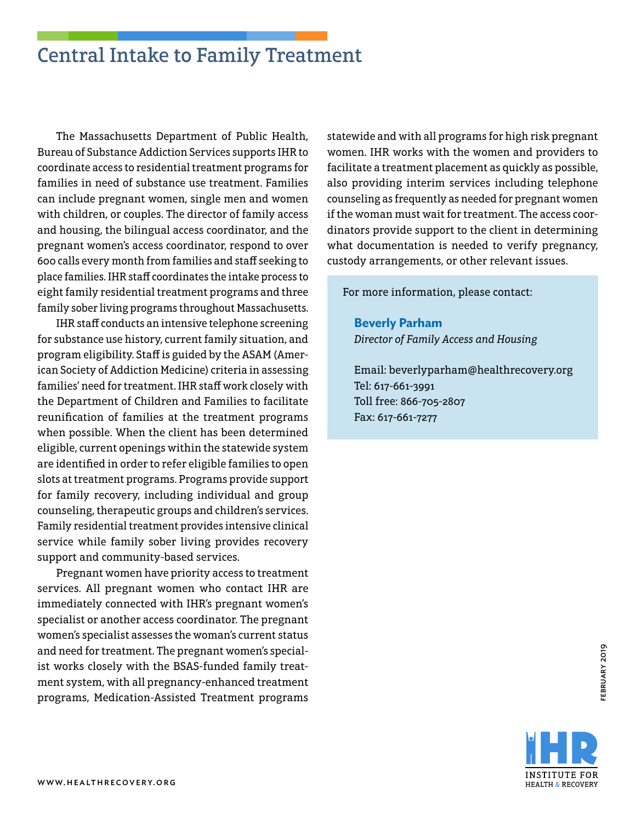## Central Intake to Family Treatment

The Massachusetts Department of Public Health, Bureau of Substance Addiction Services supports IHR to coordinate access to residential treatment programs for families in need of substance use treatment. Families can include pregnant women, single men and women with children, or couples. The director of family access and housing, the bilingual access coordinator, and the pregnant women's access coordinator, respond to over 600 calls every month from families and staff seeking to place families. IHR staff coordinates the intake process to eight family residential treatment programs and three family sober living programs throughout Massachusetts.

IHR staff conducts an intensive telephone screening for substance use history, current family situation, and program eligibility. Staff is guided by the ASAM (American Society of Addiction Medicine) criteria in assessing families' need for treatment. IHR staff work closely with the Department of Children and Families to facilitate reunification of families at the treatment programs when possible. When the client has been determined eligible, current openings within the statewide system are identified in order to refer eligible families to open slots at treatment programs. Programs provide support for family recovery, including individual and group counseling, therapeutic groups and children's services. Family residential treatment provides intensive clinical service while family sober living provides recovery support and community-based services.

Pregnant women have priority access to treatment services. All pregnant women who contact IHR are immediately connected with IHR's pregnant women's specialist or another access coordinator. The pregnant women's specialist assesses the woman's current status and need for treatment. The pregnant women's specialist works closely with the BSAS-funded family treatment system, with all pregnancy-enhanced treatment programs, Medication-Assisted Treatment programs

statewide and with all programs for high risk pregnant women. IHR works with the women and providers to facilitate a treatment placement as quickly as possible, also providing interim services including telephone counseling as frequently as needed for pregnant women if the woman must wait for treatment. The access coordinators provide support to the client in determining what documentation is needed to verify pregnancy, custody arrangements, or other relevant issues.

For more information, please contact:

**Beverly Parham** *Director of Family Access and Housing*

Email: beverlyparham@healthrecovery.org Tel: 617-661-3991 Toll free: 866-705-2807 Fax: 617-661-7277